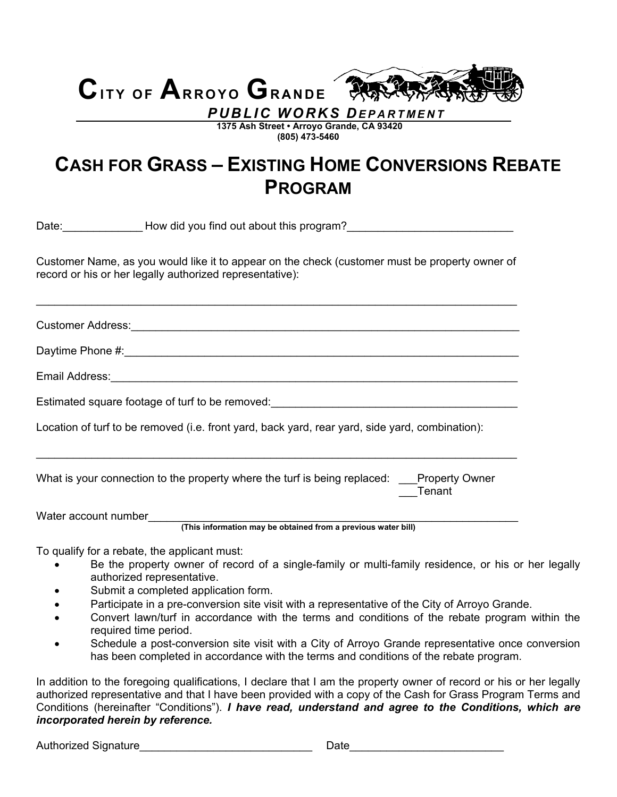# **CITY OF ARROYO GRANDE** *PUBLIC WORKS DEPARTMENT*

 **1375 Ash Street • Arroyo Grande, CA 93420 (805) 473-5460** 

## **CASH FOR GRASS – EXISTING HOME CONVERSIONS REBATE PROGRAM**

Date:\_\_\_\_\_\_\_\_\_\_\_\_\_ How did you find out about this program?\_\_\_\_\_\_\_\_\_\_\_\_\_\_\_\_\_\_\_\_\_\_\_\_\_\_\_ Customer Name, as you would like it to appear on the check (customer must be property owner of record or his or her legally authorized representative): \_\_\_\_\_\_\_\_\_\_\_\_\_\_\_\_\_\_\_\_\_\_\_\_\_\_\_\_\_\_\_\_\_\_\_\_\_\_\_\_\_\_\_\_\_\_\_\_\_\_\_\_\_\_\_\_\_\_\_\_\_\_\_\_\_\_\_\_\_\_\_\_\_\_\_\_\_\_ Customer Address:\_\_\_\_\_\_\_\_\_\_\_\_\_\_\_\_\_\_\_\_\_\_\_\_\_\_\_\_\_\_\_\_\_\_\_\_\_\_\_\_\_\_\_\_\_\_\_\_\_\_\_\_\_\_\_\_\_\_\_\_\_\_\_ Daytime Phone #:\_\_\_\_\_\_\_\_\_\_\_\_\_\_\_\_\_\_\_\_\_\_\_\_\_\_\_\_\_\_\_\_\_\_\_\_\_\_\_\_\_\_\_\_\_\_\_\_\_\_\_\_\_\_\_\_\_\_\_\_\_\_\_\_ Email Address: with the contract of the contract of the contract of the contract of the contract of the contract of the contract of the contract of the contract of the contract of the contract of the contract of the contra Estimated square footage of turf to be removed: Location of turf to be removed (i.e. front yard, back yard, rear yard, side yard, combination): \_\_\_\_\_\_\_\_\_\_\_\_\_\_\_\_\_\_\_\_\_\_\_\_\_\_\_\_\_\_\_\_\_\_\_\_\_\_\_\_\_\_\_\_\_\_\_\_\_\_\_\_\_\_\_\_\_\_\_\_\_\_\_\_\_\_\_\_\_\_\_\_\_\_\_\_\_\_ What is your connection to the property where the turf is being replaced: \_\_\_Property Owner \_\_\_Tenant Water account number  **(This information may be obtained from a previous water bill)** 

To qualify for a rebate, the applicant must:

- Be the property owner of record of a single-family or multi-family residence, or his or her legally authorized representative.
- Submit a completed application form.
- Participate in a pre-conversion site visit with a representative of the City of Arroyo Grande.
- Convert lawn/turf in accordance with the terms and conditions of the rebate program within the required time period.
- Schedule a post-conversion site visit with a City of Arroyo Grande representative once conversion has been completed in accordance with the terms and conditions of the rebate program.

In addition to the foregoing qualifications, I declare that I am the property owner of record or his or her legally authorized representative and that I have been provided with a copy of the Cash for Grass Program Terms and Conditions (hereinafter "Conditions"). *I have read, understand and agree to the Conditions, which are incorporated herein by reference.* 

Authorized Signature\_\_\_\_\_\_\_\_\_\_\_\_\_\_\_\_\_\_\_\_\_\_\_\_\_\_\_\_ Date\_\_\_\_\_\_\_\_\_\_\_\_\_\_\_\_\_\_\_\_\_\_\_\_\_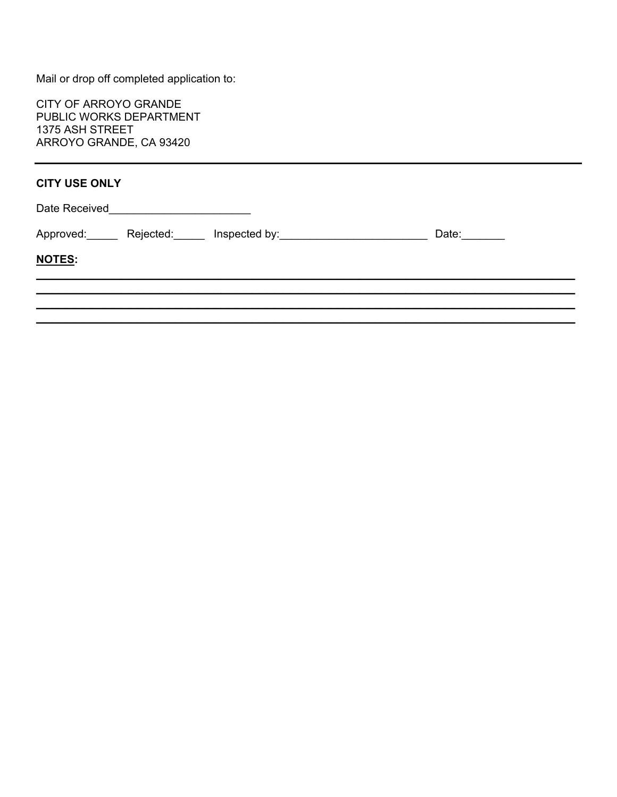Mail or drop off completed application to:

CITY OF ARROYO GRANDE PUBLIC WORKS DEPARTMENT 1375 ASH STREET ARROYO GRANDE, CA 93420

#### **CITY USE ONLY**

| Date Received | $\overline{a}$ and $\overline{a}$ are the contract of the contract of the contract of the contract of the contract of the contract of the contract of the contract of the contract of the contract of the contract of the contract of the |                                                                          |              |
|---------------|-------------------------------------------------------------------------------------------------------------------------------------------------------------------------------------------------------------------------------------------|--------------------------------------------------------------------------|--------------|
|               |                                                                                                                                                                                                                                           | Approved:________ Rejected:_______ Inspected by:________________________ | Date: ______ |
| NOTES:        |                                                                                                                                                                                                                                           |                                                                          |              |
|               |                                                                                                                                                                                                                                           |                                                                          |              |
|               |                                                                                                                                                                                                                                           |                                                                          |              |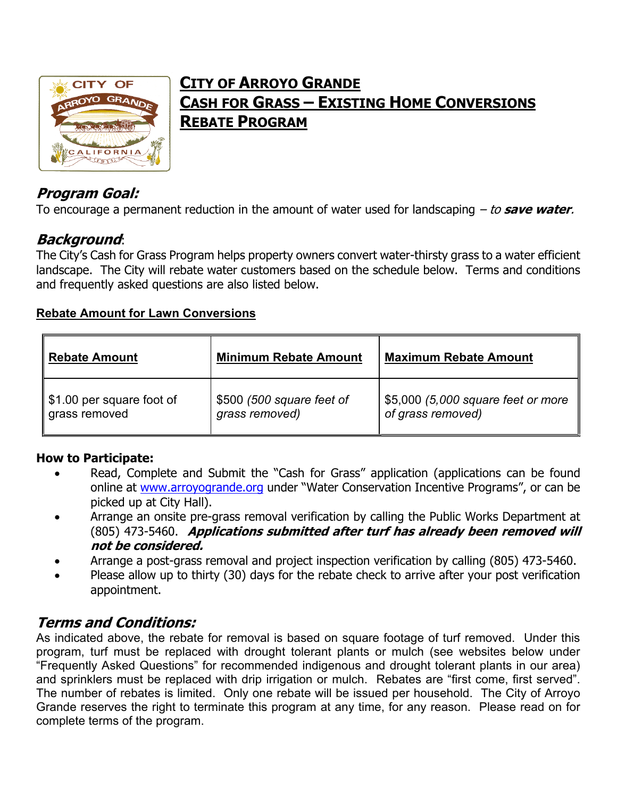

## **CITY OF ARROYO GRANDE CASH FOR GRASS – EXISTING HOME CONVERSIONS REBATE PROGRAM**

## **Program Goal:**

To encourage a permanent reduction in the amount of water used for landscaping – to **save water**.

## **Background**:

The City's Cash for Grass Program helps property owners convert water-thirsty grass to a water efficient landscape. The City will rebate water customers based on the schedule below. Terms and conditions and frequently asked questions are also listed below.

#### **Rebate Amount for Lawn Conversions**

| <b>Rebate Amount</b>       | <b>Minimum Rebate Amount</b> | <b>Maximum Rebate Amount</b>       |
|----------------------------|------------------------------|------------------------------------|
| ∥\$1.00 per square foot of | \$500 (500 square feet of    | \$5,000 (5,000 square feet or more |
| grass removed              | grass removed)               | of grass removed)                  |

#### **How to Participate:**

- Read, Complete and Submit the "Cash for Grass" application (applications can be found online at www.arroyogrande.org under "Water Conservation Incentive Programs", or can be picked up at City Hall).
- Arrange an onsite pre-grass removal verification by calling the Public Works Department at (805) 473-5460. **Applications submitted after turf has already been removed will not be considered.**
- Arrange a post-grass removal and project inspection verification by calling (805) 473-5460.
- Please allow up to thirty (30) days for the rebate check to arrive after your post verification appointment.

#### **Terms and Conditions:**

As indicated above, the rebate for removal is based on square footage of turf removed. Under this program, turf must be replaced with drought tolerant plants or mulch (see websites below under "Frequently Asked Questions" for recommended indigenous and drought tolerant plants in our area) and sprinklers must be replaced with drip irrigation or mulch. Rebates are "first come, first served". The number of rebates is limited. Only one rebate will be issued per household. The City of Arroyo Grande reserves the right to terminate this program at any time, for any reason. Please read on for complete terms of the program.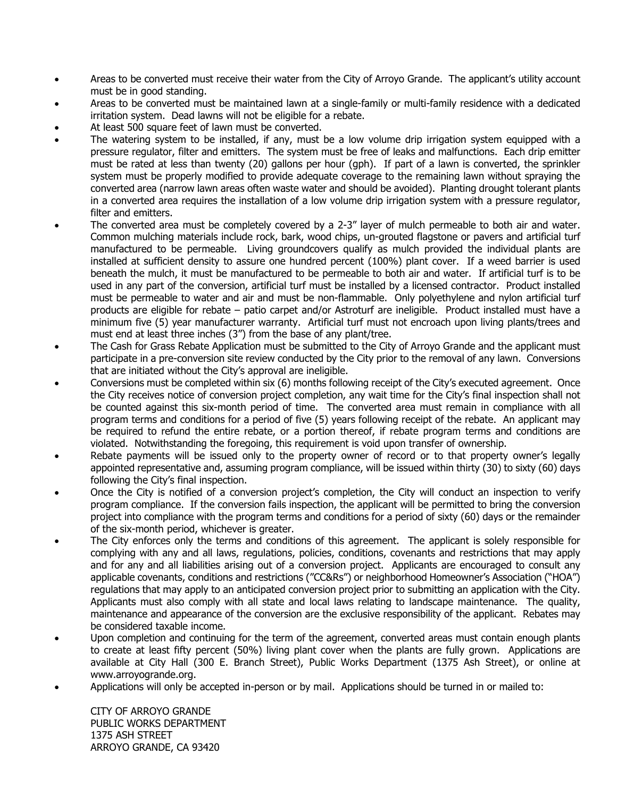- Areas to be converted must receive their water from the City of Arroyo Grande. The applicant's utility account must be in good standing.
- Areas to be converted must be maintained lawn at a single-family or multi-family residence with a dedicated irritation system. Dead lawns will not be eligible for a rebate.
- At least 500 square feet of lawn must be converted.
- The watering system to be installed, if any, must be a low volume drip irrigation system equipped with a pressure regulator, filter and emitters. The system must be free of leaks and malfunctions. Each drip emitter must be rated at less than twenty (20) gallons per hour (gph). If part of a lawn is converted, the sprinkler system must be properly modified to provide adequate coverage to the remaining lawn without spraying the converted area (narrow lawn areas often waste water and should be avoided). Planting drought tolerant plants in a converted area requires the installation of a low volume drip irrigation system with a pressure regulator, filter and emitters.
- The converted area must be completely covered by a 2-3" layer of mulch permeable to both air and water. Common mulching materials include rock, bark, wood chips, un-grouted flagstone or pavers and artificial turf manufactured to be permeable. Living groundcovers qualify as mulch provided the individual plants are installed at sufficient density to assure one hundred percent (100%) plant cover. If a weed barrier is used beneath the mulch, it must be manufactured to be permeable to both air and water. If artificial turf is to be used in any part of the conversion, artificial turf must be installed by a licensed contractor. Product installed must be permeable to water and air and must be non-flammable. Only polyethylene and nylon artificial turf products are eligible for rebate – patio carpet and/or Astroturf are ineligible. Product installed must have a minimum five (5) year manufacturer warranty. Artificial turf must not encroach upon living plants/trees and must end at least three inches (3") from the base of any plant/tree.
- The Cash for Grass Rebate Application must be submitted to the City of Arroyo Grande and the applicant must participate in a pre-conversion site review conducted by the City prior to the removal of any lawn. Conversions that are initiated without the City's approval are ineligible.
- Conversions must be completed within six (6) months following receipt of the City's executed agreement. Once the City receives notice of conversion project completion, any wait time for the City's final inspection shall not be counted against this six-month period of time. The converted area must remain in compliance with all program terms and conditions for a period of five (5) years following receipt of the rebate. An applicant may be required to refund the entire rebate, or a portion thereof, if rebate program terms and conditions are violated. Notwithstanding the foregoing, this requirement is void upon transfer of ownership.
- Rebate payments will be issued only to the property owner of record or to that property owner's legally appointed representative and, assuming program compliance, will be issued within thirty (30) to sixty (60) days following the City's final inspection.
- Once the City is notified of a conversion project's completion, the City will conduct an inspection to verify program compliance. If the conversion fails inspection, the applicant will be permitted to bring the conversion project into compliance with the program terms and conditions for a period of sixty (60) days or the remainder of the six-month period, whichever is greater.
- The City enforces only the terms and conditions of this agreement. The applicant is solely responsible for complying with any and all laws, regulations, policies, conditions, covenants and restrictions that may apply and for any and all liabilities arising out of a conversion project. Applicants are encouraged to consult any applicable covenants, conditions and restrictions ("CC&Rs") or neighborhood Homeowner's Association ("HOA") regulations that may apply to an anticipated conversion project prior to submitting an application with the City. Applicants must also comply with all state and local laws relating to landscape maintenance. The quality, maintenance and appearance of the conversion are the exclusive responsibility of the applicant. Rebates may be considered taxable income.
- Upon completion and continuing for the term of the agreement, converted areas must contain enough plants to create at least fifty percent (50%) living plant cover when the plants are fully grown. Applications are available at City Hall (300 E. Branch Street), Public Works Department (1375 Ash Street), or online at www.arroyogrande.org.
- Applications will only be accepted in-person or by mail. Applications should be turned in or mailed to:

CITY OF ARROYO GRANDE PUBLIC WORKS DEPARTMENT 1375 ASH STREET ARROYO GRANDE, CA 93420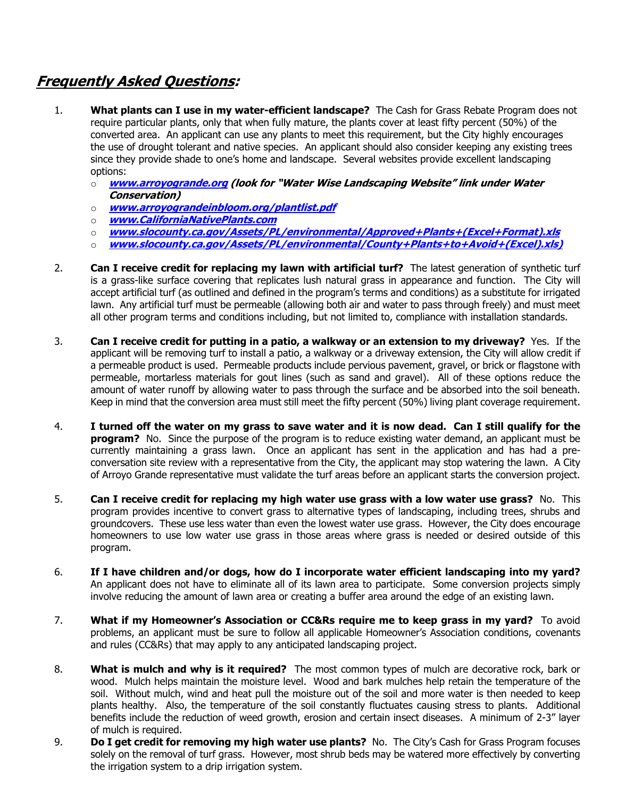#### **Frequently Asked Questions:**

- 1. **What plants can I use in my water-efficient landscape?** The Cash for Grass Rebate Program does not require particular plants, only that when fully mature, the plants cover at least fifty percent (50%) of the converted area. An applicant can use any plants to meet this requirement, but the City highly encourages the use of drought tolerant and native species. An applicant should also consider keeping any existing trees since they provide shade to one's home and landscape. Several websites provide excellent landscaping options:
	- o **www.arroyogrande.org (look for "Water Wise Landscaping Website" link under Water Conservation)**
	- o **www.arroyograndeinbloom.org/plantlist.pdf**
	- o **www.CaliforniaNativePlants.com**
	- o **www.slocounty.ca.gov/Assets/PL/environmental/Approved+Plants+(Excel+Format).xls**
	- o **www.slocounty.ca.gov/Assets/PL/environmental/County+Plants+to+Avoid+(Excel).xls)**
- 2. **Can I receive credit for replacing my lawn with artificial turf?** The latest generation of synthetic turf is a grass-like surface covering that replicates lush natural grass in appearance and function. The City will accept artificial turf (as outlined and defined in the program's terms and conditions) as a substitute for irrigated lawn. Any artificial turf must be permeable (allowing both air and water to pass through freely) and must meet all other program terms and conditions including, but not limited to, compliance with installation standards.
- 3. **Can I receive credit for putting in a patio, a walkway or an extension to my driveway?** Yes. If the applicant will be removing turf to install a patio, a walkway or a driveway extension, the City will allow credit if a permeable product is used. Permeable products include pervious pavement, gravel, or brick or flagstone with permeable, mortarless materials for gout lines (such as sand and gravel). All of these options reduce the amount of water runoff by allowing water to pass through the surface and be absorbed into the soil beneath. Keep in mind that the conversion area must still meet the fifty percent (50%) living plant coverage requirement.
- 4. **I turned off the water on my grass to save water and it is now dead. Can I still qualify for the program?** No. Since the purpose of the program is to reduce existing water demand, an applicant must be currently maintaining a grass lawn. Once an applicant has sent in the application and has had a preconversation site review with a representative from the City, the applicant may stop watering the lawn. A City of Arroyo Grande representative must validate the turf areas before an applicant starts the conversion project.
- 5. **Can I receive credit for replacing my high water use grass with a low water use grass?** No. This program provides incentive to convert grass to alternative types of landscaping, including trees, shrubs and groundcovers. These use less water than even the lowest water use grass. However, the City does encourage homeowners to use low water use grass in those areas where grass is needed or desired outside of this program.
- 6. **If I have children and/or dogs, how do I incorporate water efficient landscaping into my yard?** An applicant does not have to eliminate all of its lawn area to participate. Some conversion projects simply involve reducing the amount of lawn area or creating a buffer area around the edge of an existing lawn.
- 7. **What if my Homeowner's Association or CC&Rs require me to keep grass in my yard?** To avoid problems, an applicant must be sure to follow all applicable Homeowner's Association conditions, covenants and rules (CC&Rs) that may apply to any anticipated landscaping project.
- 8. **What is mulch and why is it required?** The most common types of mulch are decorative rock, bark or wood. Mulch helps maintain the moisture level. Wood and bark mulches help retain the temperature of the soil. Without mulch, wind and heat pull the moisture out of the soil and more water is then needed to keep plants healthy. Also, the temperature of the soil constantly fluctuates causing stress to plants. Additional benefits include the reduction of weed growth, erosion and certain insect diseases. A minimum of 2-3" layer of mulch is required.
- 9. **Do I get credit for removing my high water use plants?** No. The City's Cash for Grass Program focuses solely on the removal of turf grass. However, most shrub beds may be watered more effectively by converting the irrigation system to a drip irrigation system.